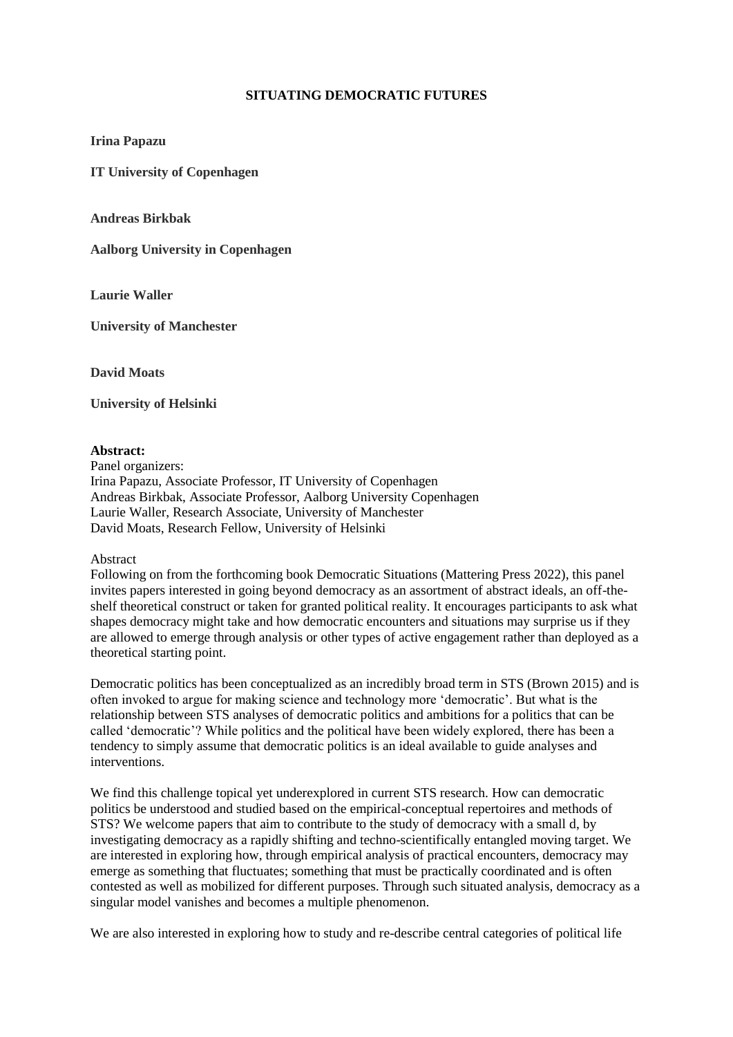## **SITUATING DEMOCRATIC FUTURES**

**Irina Papazu**

**IT University of Copenhagen**

**Andreas Birkbak**

**Aalborg University in Copenhagen**

**Laurie Waller**

**University of Manchester**

**David Moats**

**University of Helsinki**

## **Abstract:**

Panel organizers: Irina Papazu, Associate Professor, IT University of Copenhagen Andreas Birkbak, Associate Professor, Aalborg University Copenhagen Laurie Waller, Research Associate, University of Manchester David Moats, Research Fellow, University of Helsinki

## Abstract

Following on from the forthcoming book Democratic Situations (Mattering Press 2022), this panel invites papers interested in going beyond democracy as an assortment of abstract ideals, an off-theshelf theoretical construct or taken for granted political reality. It encourages participants to ask what shapes democracy might take and how democratic encounters and situations may surprise us if they are allowed to emerge through analysis or other types of active engagement rather than deployed as a theoretical starting point.

Democratic politics has been conceptualized as an incredibly broad term in STS (Brown 2015) and is often invoked to argue for making science and technology more 'democratic'. But what is the relationship between STS analyses of democratic politics and ambitions for a politics that can be called 'democratic'? While politics and the political have been widely explored, there has been a tendency to simply assume that democratic politics is an ideal available to guide analyses and interventions.

We find this challenge topical yet underexplored in current STS research. How can democratic politics be understood and studied based on the empirical-conceptual repertoires and methods of STS? We welcome papers that aim to contribute to the study of democracy with a small d, by investigating democracy as a rapidly shifting and techno-scientifically entangled moving target. We are interested in exploring how, through empirical analysis of practical encounters, democracy may emerge as something that fluctuates; something that must be practically coordinated and is often contested as well as mobilized for different purposes. Through such situated analysis, democracy as a singular model vanishes and becomes a multiple phenomenon.

We are also interested in exploring how to study and re-describe central categories of political life